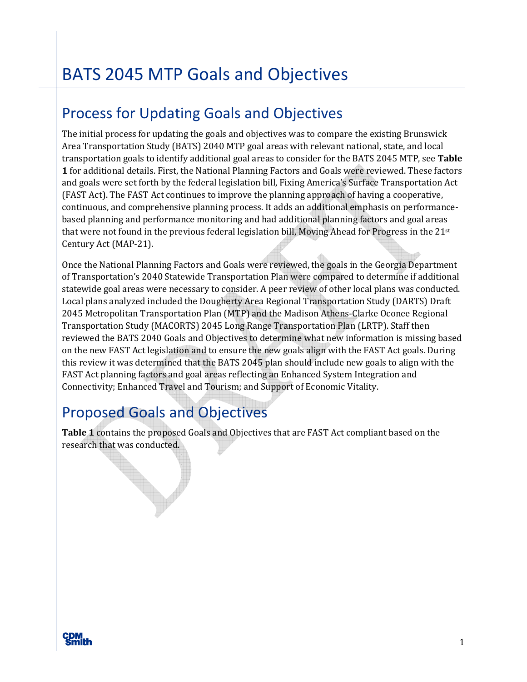# Process for Updating Goals and Objectives

The initial process for updating the goals and objectives was to compare the existing Brunswick Area Transportation Study (BATS) 2040 MTP goal areas with relevant national, state, and local transportation goals to identify additional goal areas to consider for the BATS 2045 MTP, see **Table 1** for additional details. First, the National Planning Factors and Goals were reviewed. These factors and goals were set forth by the federal legislation bill, Fixing America's Surface Transportation Act (FAST Act). The FAST Act continues to improve the planning approach of having a cooperative, continuous, and comprehensive planning process. It adds an additional emphasis on performancebased planning and performance monitoring and had additional planning factors and goal areas that were not found in the previous federal legislation bill, Moving Ahead for Progress in the 21st Century Act (MAP-21).

Once the National Planning Factors and Goals were reviewed, the goals in the Georgia Department of Transportation's 2040 Statewide Transportation Plan were compared to determine if additional statewide goal areas were necessary to consider. A peer review of other local plans was conducted. Local plans analyzed included the Dougherty Area Regional Transportation Study (DARTS) Draft 2045 Metropolitan Transportation Plan (MTP) and the Madison Athens-Clarke Oconee Regional Transportation Study (MACORTS) 2045 Long Range Transportation Plan (LRTP). Staff then reviewed the BATS 2040 Goals and Objectives to determine what new information is missing based on the new FAST Act legislation and to ensure the new goals align with the FAST Act goals. During this review it was determined that the BATS 2045 plan should include new goals to align with the FAST Act planning factors and goal areas reflecting an Enhanced System Integration and Connectivity; Enhanced Travel and Tourism; and Support of Economic Vitality.

### Proposed Goals and Objectives

**Table 1** contains the proposed Goals and Objectives that are FAST Act compliant based on the research that was conducted.

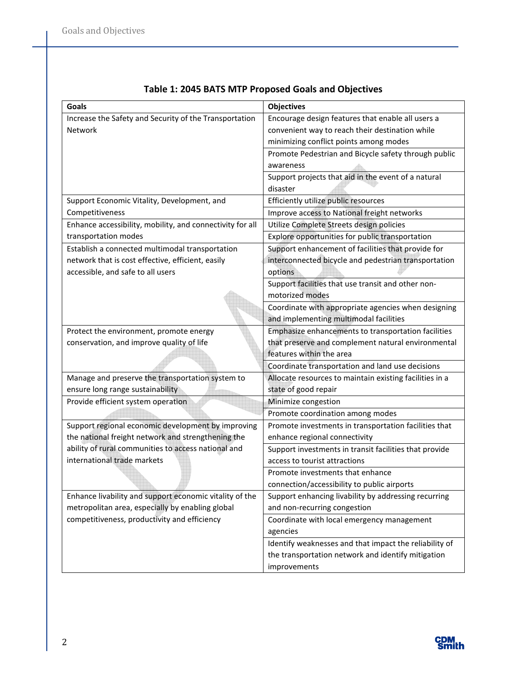| <b>Goals</b>                                              | <b>Objectives</b>                                       |
|-----------------------------------------------------------|---------------------------------------------------------|
| Increase the Safety and Security of the Transportation    | Encourage design features that enable all users a       |
| Network                                                   | convenient way to reach their destination while         |
|                                                           | minimizing conflict points among modes                  |
|                                                           | Promote Pedestrian and Bicycle safety through public    |
|                                                           | awareness                                               |
|                                                           | Support projects that aid in the event of a natural     |
|                                                           | disaster                                                |
| Support Economic Vitality, Development, and               | Efficiently utilize public resources                    |
| Competitiveness                                           | Improve access to National freight networks             |
| Enhance accessibility, mobility, and connectivity for all | Utilize Complete Streets design policies                |
| transportation modes                                      | Explore opportunities for public transportation         |
| Establish a connected multimodal transportation           | Support enhancement of facilities that provide for      |
| network that is cost effective, efficient, easily         | interconnected bicycle and pedestrian transportation    |
| accessible, and safe to all users                         | options                                                 |
|                                                           | Support facilities that use transit and other non-      |
|                                                           | motorized modes                                         |
|                                                           | Coordinate with appropriate agencies when designing     |
|                                                           | and implementing multimodal facilities                  |
| Protect the environment, promote energy                   | Emphasize enhancements to transportation facilities     |
| conservation, and improve quality of life                 | that preserve and complement natural environmental      |
|                                                           | features within the area                                |
|                                                           | Coordinate transportation and land use decisions        |
| Manage and preserve the transportation system to          | Allocate resources to maintain existing facilities in a |
| ensure long range sustainability                          | state of good repair                                    |
| Provide efficient system operation                        | Minimize congestion                                     |
|                                                           | Promote coordination among modes                        |
| Support regional economic development by improving        | Promote investments in transportation facilities that   |
| the national freight network and strengthening the        | enhance regional connectivity                           |
| ability of rural communities to access national and       | Support investments in transit facilities that provide  |
| international trade markets                               | access to tourist attractions                           |
|                                                           | Promote investments that enhance                        |
|                                                           | connection/accessibility to public airports             |
| Enhance livability and support economic vitality of the   | Support enhancing livability by addressing recurring    |
| metropolitan area, especially by enabling global          | and non-recurring congestion                            |
| competitiveness, productivity and efficiency              | Coordinate with local emergency management              |
|                                                           | agencies                                                |
|                                                           | Identify weaknesses and that impact the reliability of  |
|                                                           | the transportation network and identify mitigation      |
|                                                           | improvements                                            |

#### **Table 1: 2045 BATS MTP Proposed Goals and Objectives**

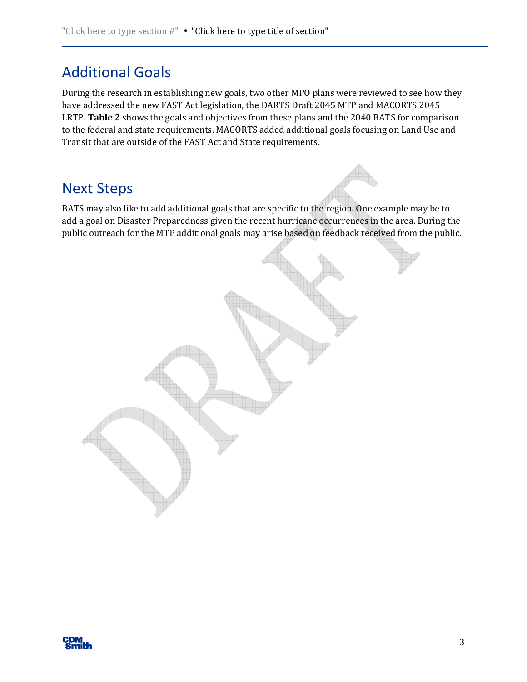# Additional Goals

During the research in establishing new goals, two other MPO plans were reviewed to see how they have addressed the new FAST Act legislation, the DARTS Draft 2045 MTP and MACORTS 2045 LRTP. **Table 2** shows the goals and objectives from these plans and the 2040 BATS for comparison to the federal and state requirements. MACORTS added additional goals focusing on Land Use and Transit that are outside of the FAST Act and State requirements.

### Next Steps

BATS may also like to add additional goals that are specific to the region. One example may be to add a goal on Disaster Preparedness given the recent hurricane occurrences in the area. During the public outreach for the MTP additional goals may arise based on feedback received from the public.

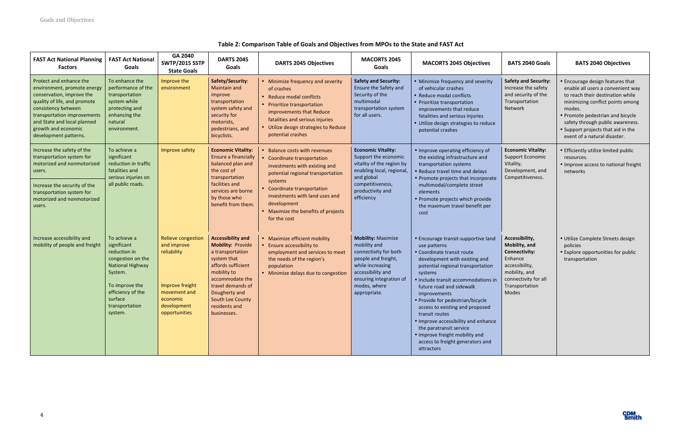

| <b>FAST Act National Planning</b><br><b>Factors</b>                                                                                                                                                                                                      | <b>FAST Act National</b><br>Goals                                                                                                                                                     | GA 2040<br><b>SWTP/2015 SSTP</b><br><b>State Goals</b>                                                                                 | <b>DARTS 2045</b><br>Goals                                                                                                                                                                                                                | <b>DARTS 2045 Objectives</b>                                                                                                                                                                                                                                                       | <b>MACORTS 2045</b><br>Goals                                                                                                                                                                  | <b>MACORTS 2045 Objectives</b>                                                                                                                                                                                                                                                                                                                                                                                                                                                                       | <b>BATS 2040 Goals</b>                                                                                                                                   | <b>BATS 2040 Objectives</b>                                                                                                                                                                                                                                                                           |
|----------------------------------------------------------------------------------------------------------------------------------------------------------------------------------------------------------------------------------------------------------|---------------------------------------------------------------------------------------------------------------------------------------------------------------------------------------|----------------------------------------------------------------------------------------------------------------------------------------|-------------------------------------------------------------------------------------------------------------------------------------------------------------------------------------------------------------------------------------------|------------------------------------------------------------------------------------------------------------------------------------------------------------------------------------------------------------------------------------------------------------------------------------|-----------------------------------------------------------------------------------------------------------------------------------------------------------------------------------------------|------------------------------------------------------------------------------------------------------------------------------------------------------------------------------------------------------------------------------------------------------------------------------------------------------------------------------------------------------------------------------------------------------------------------------------------------------------------------------------------------------|----------------------------------------------------------------------------------------------------------------------------------------------------------|-------------------------------------------------------------------------------------------------------------------------------------------------------------------------------------------------------------------------------------------------------------------------------------------------------|
| Protect and enhance the<br>environment, promote energy<br>conservation, improve the<br>quality of life, and promote<br>consistency between<br>transportation improvements<br>and State and local planned<br>growth and economic<br>development patterns. | To enhance the<br>performance of the<br>transportation<br>system while<br>protecting and<br>enhancing the<br>natural<br>environment.                                                  | Improve the<br>environment                                                                                                             | Safety/Security:<br><b>Maintain and</b><br>improve<br>transportation<br>system safety and<br>security for<br>motorists,<br>pedestrians, and<br>bicyclists.                                                                                | • Minimize frequency and severity<br>of crashes<br>• Reduce modal conflicts<br>• Prioritize transportation<br>improvements that Reduce<br>fatalities and serious injuries<br>• Utilize design strategies to Reduce<br>potential crashes                                            | <b>Safety and Security:</b><br>Ensure the Safety and<br>Security of the<br>multimodal<br>transportation system<br>for all users.                                                              | • Minimize frequency and severity<br>of vehicular crashes<br>• Reduce modal conflicts<br>• Prioritize transportation<br>improvements that reduce<br>fatalities and serious injuries<br>· Utilize design strategies to reduce<br>potential crashes                                                                                                                                                                                                                                                    | <b>Safety and Security:</b><br>Increase the safety<br>and security of the<br>Transportation<br>Network                                                   | • Encourage design features that<br>enable all users a convenient way<br>to reach their destination while<br>minimizing conflict points among<br>modes.<br>• Promote pedestrian and bicycle<br>safety through public awareness.<br>• Support projects that aid in the<br>event of a natural disaster. |
| Increase the safety of the<br>transportation system for<br>motorized and nonmotorized<br>users.<br>Increase the security of the<br>transportation system for<br>motorized and nonmotorized<br>users.                                                     | To achieve a<br>significant<br>reduction in traffic<br>fatalities and<br>serious injuries on<br>all public roads.                                                                     | Improve safety                                                                                                                         | <b>Economic Vitality:</b><br>Ensure a financially<br>balanced plan and<br>the cost of<br>transportation<br>facilities and<br>services are borne<br>by those who<br>benefit from them.                                                     | • Balance costs with revenues<br>Coordinate transportation<br>investments with existing and<br>potential regional transportation<br>systems<br>• Coordinate transportation<br>investments with land uses and<br>development<br>• Maximize the benefits of projects<br>for the cost | <b>Economic Vitality:</b><br>Support the economic<br>vitality of the region by<br>enabling local, regional,<br>and global<br>competitiveness,<br>productivity and<br>efficiency               | • Improve operating efficiency of<br>the existing infrastructure and<br>transportation systems<br>• Reduce travel time and delays<br>• Promote projects that incorporate<br>multimodal/complete street<br>elements<br>· Promote projects which provide<br>the maximum travel benefit per<br>cost                                                                                                                                                                                                     | <b>Economic Vitality:</b><br><b>Support Economic</b><br>Vitality,<br>Development, and<br>Competitiveness.                                                | • Efficiently utilize limited public<br>resources.<br>• Improve access to national freight<br>networks                                                                                                                                                                                                |
| Increase accessibility and<br>mobility of people and freight                                                                                                                                                                                             | To achieve a<br>significant<br>reduction in<br>congestion on the<br><b>National Highway</b><br>System.<br>To improve the<br>efficiency of the<br>surface<br>transportation<br>system. | <b>Relieve congestion</b><br>and improve<br>reliability<br>Improve freight<br>movement and<br>economic<br>development<br>opportunities | <b>Accessibility and</b><br><b>Mobility: Provide</b><br>a transportation<br>system that<br>affords sufficient<br>mobility to<br>accommodate the<br>travel demands of<br>Dougherty and<br>South Lee County<br>residents and<br>businesses. | • Maximize efficient mobility<br>• Ensure accessibility to<br>employment and services to meet<br>the needs of the region's<br>population<br>• Minimize delays due to congestion                                                                                                    | <b>Mobility: Maximize</b><br>mobility and<br>connectivity for both<br>people and freight,<br>while increasing<br>accessibility and<br>ensuring integration of<br>modes, where<br>appropriate. | • Encourage transit-supportive land<br>use patterns<br>• Coordinate transit route<br>development with existing and<br>potential regional transportation<br>systems<br>· Include transit accommodations in<br>future road and sidewalk<br>improvements<br>• Provide for pedestrian/bicycle<br>access to existing and proposed<br>transit routes<br>• Improve accessibility and enhance<br>the paratransit service<br>. Improve freight mobility and<br>access to freight generators and<br>attractors | Accessibility,<br>Mobility, and<br><b>Connectivity:</b><br>Enhance<br>accessibility,<br>mobility, and<br>connectivity for all<br>Transportation<br>Modes | · Utilize Complete Streets design<br>policies<br>• Explore opportunities for public<br>transportation                                                                                                                                                                                                 |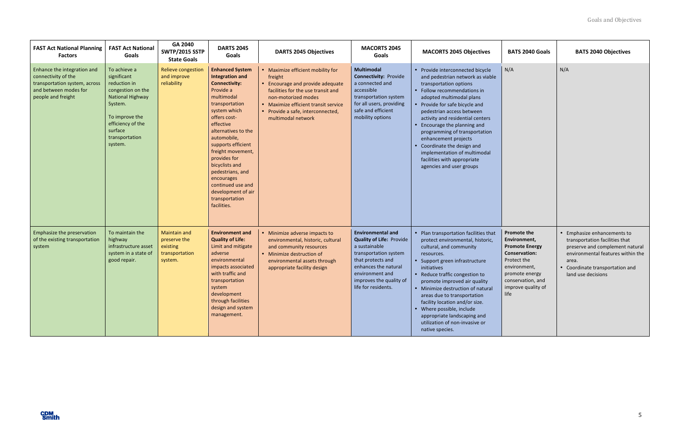| <b>FAST Act National Planning</b><br><b>Factors</b>                                                                                | <b>FAST Act National</b><br>Goals                                                                                                                                                     | GA 2040<br><b>SWTP/2015 SSTP</b><br><b>State Goals</b>                       | <b>DARTS 2045</b><br>Goals                                                                                                                                                                                                                                                                                                                                                                          | <b>DARTS 2045 Objectives</b>                                                                                                                                                                                                                     | <b>MACORTS 2045</b><br>Goals                                                                                                                                                                                            | <b>MACORTS 2045 Objectives</b>                                                                                                                                                                                                                                                                                                                                                                                                                                              | <b>BATS 2040 Goals</b>                                                                                                                                                                  | <b>BATS 2040 Objectives</b>                                                                                                                                                                           |
|------------------------------------------------------------------------------------------------------------------------------------|---------------------------------------------------------------------------------------------------------------------------------------------------------------------------------------|------------------------------------------------------------------------------|-----------------------------------------------------------------------------------------------------------------------------------------------------------------------------------------------------------------------------------------------------------------------------------------------------------------------------------------------------------------------------------------------------|--------------------------------------------------------------------------------------------------------------------------------------------------------------------------------------------------------------------------------------------------|-------------------------------------------------------------------------------------------------------------------------------------------------------------------------------------------------------------------------|-----------------------------------------------------------------------------------------------------------------------------------------------------------------------------------------------------------------------------------------------------------------------------------------------------------------------------------------------------------------------------------------------------------------------------------------------------------------------------|-----------------------------------------------------------------------------------------------------------------------------------------------------------------------------------------|-------------------------------------------------------------------------------------------------------------------------------------------------------------------------------------------------------|
| Enhance the integration and<br>connectivity of the<br>transportation system, across<br>and between modes for<br>people and freight | To achieve a<br>significant<br>reduction in<br>congestion on the<br><b>National Highway</b><br>System.<br>To improve the<br>efficiency of the<br>surface<br>transportation<br>system. | Relieve congestion<br>and improve<br>reliability                             | <b>Enhanced System</b><br><b>Integration and</b><br><b>Connectivity:</b><br>Provide a<br>multimodal<br>transportation<br>system which<br>offers cost-<br>effective<br>alternatives to the<br>automobile,<br>supports efficient<br>freight movement,<br>provides for<br>bicyclists and<br>pedestrians, and<br>encourages<br>continued use and<br>development of air<br>transportation<br>facilities. | • Maximize efficient mobility for<br>freight<br>• Encourage and provide adequate<br>facilities for the use transit and<br>non-motorized modes<br>• Maximize efficient transit service<br>• Provide a safe, interconnected,<br>multimodal network | <b>Multimodal</b><br><b>Connectivity: Provide</b><br>a connected and<br>accessible<br>transportation system<br>for all users, providing<br>safe and efficient<br>mobility options                                       | • Provide interconnected bicycle<br>and pedestrian network as viable<br>transportation options<br>• Follow recommendations in<br>adopted multimodal plans<br>• Provide for safe bicycle and<br>pedestrian access between<br>activity and residential centers<br>Encourage the planning and<br>programming of transportation<br>enhancement projects<br>Coordinate the design and<br>implementation of multimodal<br>facilities with appropriate<br>agencies and user groups | N/A                                                                                                                                                                                     | N/A                                                                                                                                                                                                   |
| Emphasize the preservation<br>of the existing transportation<br>system                                                             | To maintain the<br>highway<br>infrastructure asset<br>system in a state of<br>good repair.                                                                                            | <b>Maintain and</b><br>preserve the<br>existing<br>transportation<br>system. | <b>Environment and</b><br><b>Quality of Life:</b><br>Limit and mitigate<br>adverse<br>environmental<br>impacts associated<br>with traffic and<br>transportation<br>system<br>development<br>through facilities<br>design and system<br>management.                                                                                                                                                  | • Minimize adverse impacts to<br>environmental, historic, cultural<br>and community resources<br>• Minimize destruction of<br>environmental assets through<br>appropriate facility design                                                        | <b>Environmental and</b><br><b>Quality of Life: Provide</b><br>a sustainable<br>transportation system<br>that protects and<br>enhances the natural<br>environment and<br>improves the quality of<br>life for residents. | • Plan transportation facilities that<br>protect environmental, historic,<br>cultural, and community<br>resources.<br>• Support green infrastructure<br>initiatives<br>• Reduce traffic congestion to<br>promote improved air quality<br>• Minimize destruction of natural<br>areas due to transportation<br>facility location and/or size.<br>• Where possible, include<br>appropriate landscaping and<br>utilization of non-invasive or<br>native species.                | <b>Promote the</b><br>Environment,<br><b>Promote Energy</b><br><b>Conservation:</b><br>Protect the<br>environment,<br>promote energy<br>conservation, and<br>improve quality of<br>life | • Emphasize enhancements to<br>transportation facilities that<br>preserve and complement natural<br>environmental features within the<br>area.<br>Coordinate transportation and<br>land use decisions |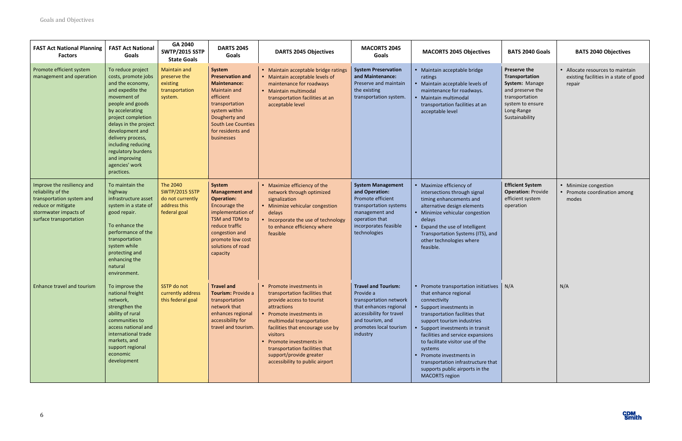

| <b>FAST Act National Planning</b><br><b>Factors</b>                                                                                                    | <b>FAST Act National</b><br>Goals                                                                                                                                                                                                                                                                                          | GA 2040<br><b>SWTP/2015 SSTP</b><br><b>State Goals</b>                                | <b>DARTS 2045</b><br>Goals                                                                                                                                                                                       | <b>DARTS 2045 Objectives</b>                                                                                                                                                                                                                                                                                                                | <b>MACORTS 2045</b><br>Goals                                                                                                                                                      | <b>MACORTS 2045 Objectives</b>                                                                                                                                                                                                                                                                                                                                                                                                  | <b>BATS 2040 Goals</b>                                                                                                                     | <b>BATS 2040 Objectives</b>                                                          |
|--------------------------------------------------------------------------------------------------------------------------------------------------------|----------------------------------------------------------------------------------------------------------------------------------------------------------------------------------------------------------------------------------------------------------------------------------------------------------------------------|---------------------------------------------------------------------------------------|------------------------------------------------------------------------------------------------------------------------------------------------------------------------------------------------------------------|---------------------------------------------------------------------------------------------------------------------------------------------------------------------------------------------------------------------------------------------------------------------------------------------------------------------------------------------|-----------------------------------------------------------------------------------------------------------------------------------------------------------------------------------|---------------------------------------------------------------------------------------------------------------------------------------------------------------------------------------------------------------------------------------------------------------------------------------------------------------------------------------------------------------------------------------------------------------------------------|--------------------------------------------------------------------------------------------------------------------------------------------|--------------------------------------------------------------------------------------|
| Promote efficient system<br>management and operation                                                                                                   | To reduce project<br>costs, promote jobs<br>and the economy,<br>and expedite the<br>movement of<br>people and goods<br>by accelerating<br>project completion<br>delays in the project<br>development and<br>delivery process,<br>including reducing<br>regulatory burdens<br>and improving<br>agencies' work<br>practices. | <b>Maintain and</b><br>preserve the<br>existing<br>transportation<br>system.          | System<br><b>Preservation and</b><br><b>Maintenance:</b><br><b>Maintain and</b><br>efficient<br>transportation<br>system within<br>Dougherty and<br><b>South Lee Counties</b><br>for residents and<br>businesses | • Maintain acceptable bridge ratings<br>• Maintain acceptable levels of<br>maintenance for roadways<br>• Maintain multimodal<br>transportation facilities at an<br>acceptable level                                                                                                                                                         | <b>System Preservation</b><br>and Maintenance:<br>Preserve and maintain<br>the existing<br>transportation system.                                                                 | • Maintain acceptable bridge<br>ratings<br>• Maintain acceptable levels of<br>maintenance for roadways.<br>· Maintain multimodal<br>transportation facilities at an<br>acceptable level                                                                                                                                                                                                                                         | Preserve the<br>Transportation<br>System: Manage<br>and preserve the<br>transportation<br>system to ensure<br>Long-Range<br>Sustainability | • Allocate resources to maintain<br>existing facilities in a state of good<br>repair |
| Improve the resiliency and<br>reliability of the<br>transportation system and<br>reduce or mitigate<br>stormwater impacts of<br>surface transportation | To maintain the<br>highway<br>infrastructure asset<br>system in a state of<br>good repair.<br>To enhance the<br>performance of the<br>transportation<br>system while<br>protecting and<br>enhancing the<br>natural<br>environment.                                                                                         | The 2040<br><b>SWTP/2015 SSTP</b><br>do not currently<br>address this<br>federal goal | System<br><b>Management and</b><br><b>Operation:</b><br>Encourage the<br>implementation of<br>TSM and TDM to<br>reduce traffic<br>congestion and<br>promote low cost<br>solutions of road<br>capacity            | • Maximize efficiency of the<br>network through optimized<br>signalization<br>• Minimize vehicular congestion<br>delays<br>• Incorporate the use of technology<br>to enhance efficiency where<br>feasible                                                                                                                                   | <b>System Management</b><br>and Operation:<br>Promote efficient<br>transportation systems<br>management and<br>operation that<br>incorporates feasible<br>technologies            | • Maximize efficiency of<br>intersections through signal<br>timing enhancements and<br>alternative design elements<br>• Minimize vehicular congestion<br>delays<br>Expand the use of Intelligent<br>Transportation Systems (ITS), and<br>other technologies where<br>feasible.                                                                                                                                                  | <b>Efficient System</b><br><b>Operation: Provide</b><br>efficient system<br>operation                                                      | • Minimize congestion<br>• Promote coordination among<br>modes                       |
| <b>Enhance travel and tourism</b>                                                                                                                      | To improve the<br>national freight<br>network,<br>strengthen the<br>ability of rural<br>communities to<br>access national and<br>international trade<br>markets, and<br>support regional<br>economic<br>development                                                                                                        | SSTP do not<br>currently address<br>this federal goal                                 | <b>Travel and</b><br>Tourism: Provide a<br>transportation<br>network that<br>enhances regional<br>accessibility for<br>travel and tourism.                                                                       | • Promote investments in<br>transportation facilities that<br>provide access to tourist<br>attractions<br>• Promote investments in<br>multimodal transportation<br>facilities that encourage use by<br>visitors<br>• Promote investments in<br>transportation facilities that<br>support/provide greater<br>accessibility to public airport | <b>Travel and Tourism:</b><br>Provide a<br>transportation network<br>that enhances regional<br>accessibility for travel<br>and tourism, and<br>promotes local tourism<br>industry | • Promote transportation initiatives   N/A<br>that enhance regional<br>connectivity<br>Support investments in<br>transportation facilities that<br>support tourism industries<br>Support investments in transit<br>facilities and service expansions<br>to facilitate visitor use of the<br>systems<br>Promote investments in<br>transportation infrastructure that<br>supports public airports in the<br><b>MACORTS region</b> |                                                                                                                                            | N/A                                                                                  |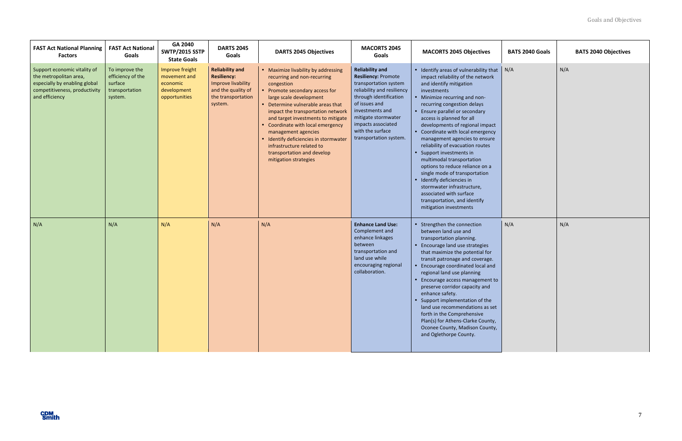| <b>FAST Act National Planning</b><br><b>Factors</b>                                                                                        | <b>FAST Act National</b><br>Goals                                           | GA 2040<br><b>SWTP/2015 SSTP</b><br><b>State Goals</b>                      | <b>DARTS 2045</b><br>Goals                                                                                                | <b>DARTS 2045 Objectives</b>                                                                                                                                                                                                                                                                                                                                                                                                                           | <b>MACORTS 2045</b><br>Goals                                                                                                                                                                                                                                         | <b>MACORTS 2045 Objectives</b>                                                                                                                                                                                                                                                                                                                                                                                                                                                                                                                                                                                                                                                    | <b>BATS 2040 Goals</b> | <b>BATS 2040 Objectives</b> |
|--------------------------------------------------------------------------------------------------------------------------------------------|-----------------------------------------------------------------------------|-----------------------------------------------------------------------------|---------------------------------------------------------------------------------------------------------------------------|--------------------------------------------------------------------------------------------------------------------------------------------------------------------------------------------------------------------------------------------------------------------------------------------------------------------------------------------------------------------------------------------------------------------------------------------------------|----------------------------------------------------------------------------------------------------------------------------------------------------------------------------------------------------------------------------------------------------------------------|-----------------------------------------------------------------------------------------------------------------------------------------------------------------------------------------------------------------------------------------------------------------------------------------------------------------------------------------------------------------------------------------------------------------------------------------------------------------------------------------------------------------------------------------------------------------------------------------------------------------------------------------------------------------------------------|------------------------|-----------------------------|
| Support economic vitality of<br>the metropolitan area,<br>especially by enabling global<br>competitiveness, productivity<br>and efficiency | To improve the<br>efficiency of the<br>surface<br>transportation<br>system. | Improve freight<br>movement and<br>economic<br>development<br>opportunities | <b>Reliability and</b><br><b>Resiliency:</b><br>Improve livability<br>and the quality of<br>the transportation<br>system. | • Maximize livability by addressing<br>recurring and non-recurring<br>congestion<br>• Promote secondary access for<br>large scale development<br>• Determine vulnerable areas that<br>impact the transportation network<br>and target investments to mitigate<br>• Coordinate with local emergency<br>management agencies<br>• Identify deficiencies in stormwater<br>infrastructure related to<br>transportation and develop<br>mitigation strategies | <b>Reliability and</b><br><b>Resiliency: Promote</b><br>transportation system<br>reliability and resiliency<br>through identification<br>of issues and<br>investments and<br>mitigate stormwater<br>impacts associated<br>with the surface<br>transportation system. | • Identify areas of vulnerability that  <br>impact reliability of the network<br>and identify mitigation<br>investments<br>• Minimize recurring and non-<br>recurring congestion delays<br>• Ensure parallel or secondary<br>access is planned for all<br>developments of regional impact<br>• Coordinate with local emergency<br>management agencies to ensure<br>reliability of evacuation routes<br>• Support investments in<br>multimodal transportation<br>options to reduce reliance on a<br>single mode of transportation<br>· Identify deficiencies in<br>stormwater infrastructure,<br>associated with surface<br>transportation, and identify<br>mitigation investments | N/A                    | N/A                         |
| N/A                                                                                                                                        | N/A                                                                         | N/A                                                                         | N/A                                                                                                                       | N/A                                                                                                                                                                                                                                                                                                                                                                                                                                                    | <b>Enhance Land Use:</b><br>Complement and<br>enhance linkages<br>between<br>transportation and<br>land use while<br>encouraging regional<br>collaboration.                                                                                                          | • Strengthen the connection<br>between land use and<br>transportation planning.<br>• Encourage land use strategies<br>that maximize the potential for<br>transit patronage and coverage.<br>Encourage coordinated local and<br>regional land use planning<br>Encourage access management to<br>preserve corridor capacity and<br>enhance safety.<br>• Support implementation of the<br>land use recommendations as set<br>forth in the Comprehensive<br>Plan(s) for Athens-Clarke County,<br>Oconee County, Madison County,<br>and Oglethorpe County.                                                                                                                             | N/A                    | N/A                         |